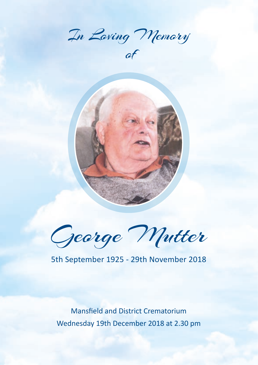In Loving Memory

of



George Mutter

## 5th September 1925 - 29th November 2018

Mansfield and District Crematorium Wednesday 19th December 2018 at 2.30 pm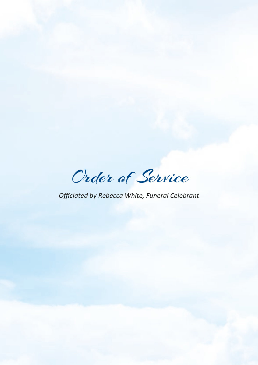Order of Service

*Officiated by Rebecca White, Funeral Celebrant*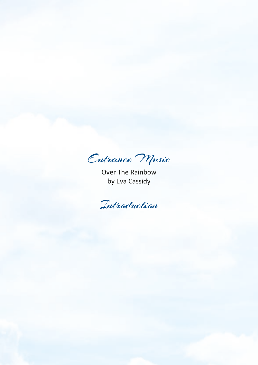Entrance Music

Over The Rainbow by Eva Cassidy

Introduction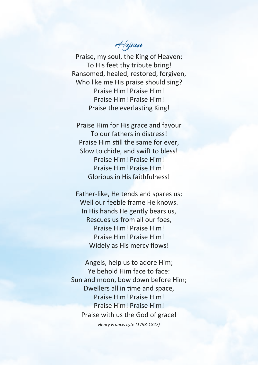Hymn

Praise, my soul, the King of Heaven; To His feet thy tribute bring! Ransomed, healed, restored, forgiven, Who like me His praise should sing? Praise Him! Praise Him! Praise Him! Praise Him! Praise the everlasting King!

Praise Him for His grace and favour To our fathers in distress! Praise Him still the same for ever, Slow to chide, and swift to bless! Praise Him! Praise Him! Praise Him! Praise Him! Glorious in His faithfulness!

Father-like, He tends and spares us; Well our feeble frame He knows. In His hands He gently bears us, Rescues us from all our foes, Praise Him! Praise Him! Praise Him! Praise Him! Widely as His mercy flows!

Angels, help us to adore Him; Ye behold Him face to face: Sun and moon, bow down before Him; Dwellers all in time and space, Praise Him! Praise Him! Praise Him! Praise Him! Praise with us the God of grace!

*Henry Francis Lyte (1793-1847)*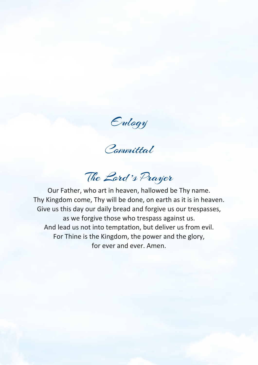Eulogy

Committal

The Lord 's Prayer

Our Father, who art in heaven, hallowed be Thy name. Thy Kingdom come, Thy will be done, on earth as it is in heaven. Give us this day our daily bread and forgive us our trespasses, as we forgive those who trespass against us. And lead us not into temptation, but deliver us from evil. For Thine is the Kingdom, the power and the glory, for ever and ever. Amen.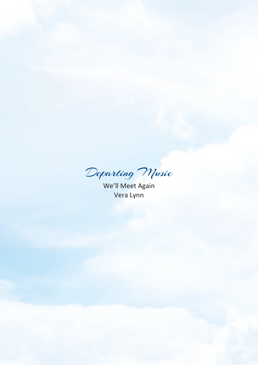Departing Music

We'll Meet Again Vera Lynn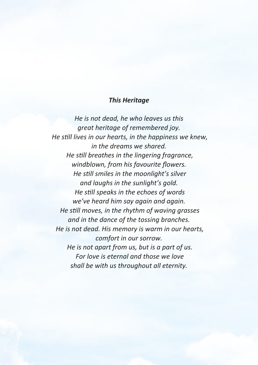## *This Heritage*

*He is not dead, he who leaves us this great heritage of remembered joy. He still lives in our hearts, in the happiness we knew, in the dreams we shared. He still breathes in the lingering fragrance, windblown, from his favourite flowers. He still smiles in the moonlight's silver and laughs in the sunlight's gold. He still speaks in the echoes of words we've heard him say again and again. He still moves, in the rhythm of waving grasses and in the dance of the tossing branches. He is not dead. His memory is warm in our hearts, comfort in our sorrow. He is not apart from us, but is a part of us. For love is eternal and those we love shall be with us throughout all eternity.*